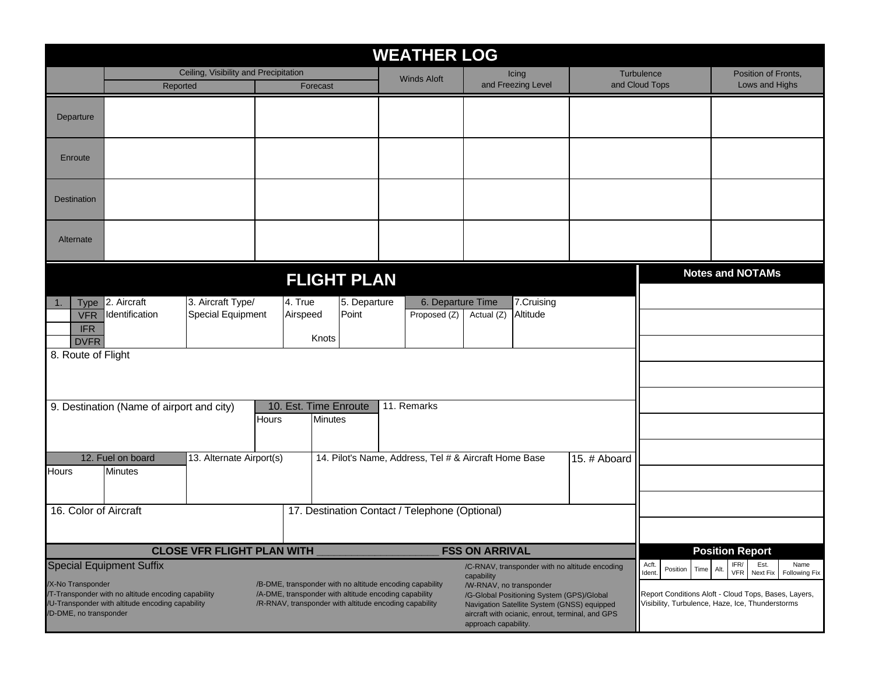|                                                                                                                                                                                                                                                                                                                                                                                                                                                                                                                                                                                                                                             | <b>WEATHER LOG</b>                                                                                                                      |  |  |                                                       |  |                    |                                 |                             |                                                                                                                                                                                                                    |                              |                                       |  |  |
|---------------------------------------------------------------------------------------------------------------------------------------------------------------------------------------------------------------------------------------------------------------------------------------------------------------------------------------------------------------------------------------------------------------------------------------------------------------------------------------------------------------------------------------------------------------------------------------------------------------------------------------------|-----------------------------------------------------------------------------------------------------------------------------------------|--|--|-------------------------------------------------------|--|--------------------|---------------------------------|-----------------------------|--------------------------------------------------------------------------------------------------------------------------------------------------------------------------------------------------------------------|------------------------------|---------------------------------------|--|--|
|                                                                                                                                                                                                                                                                                                                                                                                                                                                                                                                                                                                                                                             | Ceiling, Visibility and Precipitation<br>Forecast<br>Reported                                                                           |  |  |                                                       |  | <b>Winds Aloft</b> |                                 | Icing<br>and Freezing Level |                                                                                                                                                                                                                    | Turbulence<br>and Cloud Tops | Position of Fronts.<br>Lows and Highs |  |  |
| Departure                                                                                                                                                                                                                                                                                                                                                                                                                                                                                                                                                                                                                                   |                                                                                                                                         |  |  |                                                       |  |                    |                                 |                             |                                                                                                                                                                                                                    |                              |                                       |  |  |
| Enroute                                                                                                                                                                                                                                                                                                                                                                                                                                                                                                                                                                                                                                     |                                                                                                                                         |  |  |                                                       |  |                    |                                 |                             |                                                                                                                                                                                                                    |                              |                                       |  |  |
| <b>Destination</b>                                                                                                                                                                                                                                                                                                                                                                                                                                                                                                                                                                                                                          |                                                                                                                                         |  |  |                                                       |  |                    |                                 |                             |                                                                                                                                                                                                                    |                              |                                       |  |  |
| Alternate                                                                                                                                                                                                                                                                                                                                                                                                                                                                                                                                                                                                                                   |                                                                                                                                         |  |  |                                                       |  |                    |                                 |                             |                                                                                                                                                                                                                    |                              |                                       |  |  |
|                                                                                                                                                                                                                                                                                                                                                                                                                                                                                                                                                                                                                                             |                                                                                                                                         |  |  | <b>FLIGHT PLAN</b>                                    |  |                    |                                 |                             |                                                                                                                                                                                                                    |                              | <b>Notes and NOTAMs</b>               |  |  |
| <b>Type</b><br><b>VFR</b><br><b>IFR</b><br><b>DVFR</b>                                                                                                                                                                                                                                                                                                                                                                                                                                                                                                                                                                                      | 2. Aircraft<br>3. Aircraft Type/<br>4. True<br>5. Departure<br>Identification<br><b>Special Equipment</b><br>Point<br>Airspeed<br>Knots |  |  |                                                       |  |                    | 6. Departure Time<br>Actual (Z) | 7.Cruising<br>Altitude      |                                                                                                                                                                                                                    |                              |                                       |  |  |
| 8. Route of Flight                                                                                                                                                                                                                                                                                                                                                                                                                                                                                                                                                                                                                          |                                                                                                                                         |  |  |                                                       |  |                    |                                 |                             |                                                                                                                                                                                                                    |                              |                                       |  |  |
| 10. Est. Time Enroute<br>11. Remarks<br>9. Destination (Name of airport and city)<br><b>Minutes</b><br>Hours                                                                                                                                                                                                                                                                                                                                                                                                                                                                                                                                |                                                                                                                                         |  |  |                                                       |  |                    |                                 |                             |                                                                                                                                                                                                                    |                              |                                       |  |  |
| Hours                                                                                                                                                                                                                                                                                                                                                                                                                                                                                                                                                                                                                                       | 12. Fuel on board<br><b>Minutes</b>                                                                                                     |  |  | 14. Pilot's Name, Address, Tel # & Aircraft Home Base |  |                    | 15. # Aboard                    |                             |                                                                                                                                                                                                                    |                              |                                       |  |  |
| 16. Color of Aircraft                                                                                                                                                                                                                                                                                                                                                                                                                                                                                                                                                                                                                       |                                                                                                                                         |  |  | 17. Destination Contact / Telephone (Optional)        |  |                    |                                 |                             |                                                                                                                                                                                                                    |                              |                                       |  |  |
| <b>CLOSE VFR FLIGHT PLAN WITH</b><br><b>FSS ON ARRIVAL</b>                                                                                                                                                                                                                                                                                                                                                                                                                                                                                                                                                                                  |                                                                                                                                         |  |  |                                                       |  |                    |                                 |                             |                                                                                                                                                                                                                    |                              | <b>Position Report</b>                |  |  |
| <b>Special Equipment Suffix</b><br>/C-RNAV, transponder with no altitude encoding<br>capability<br>/X-No Transponder<br>/B-DME, transponder with no altitude encoding capability<br>/W-RNAV, no transponder<br>/T-Transponder with no altitude encoding capability<br>/A-DME, transponder with altitude encoding capability<br>/G-Global Positioning System (GPS)/Global<br>/U-Transponder with altitude encoding capability<br>/R-RNAV, transponder with altitude encoding capability<br>Navigation Satellite System (GNSS) equipped<br>/D-DME, no transponder<br>aircraft with ocianic, enrout, terminal, and GPS<br>approach capability. |                                                                                                                                         |  |  |                                                       |  |                    |                                 |                             | IFR/<br>Est.<br>Acft.<br>Name<br>Position<br>Time<br>Alt.<br>Ident<br>VFR<br>Next Fix<br>Following Fix<br>Report Conditions Aloft - Cloud Tops, Bases, Layers,<br>Visibility, Turbulence, Haze, Ice, Thunderstorms |                              |                                       |  |  |